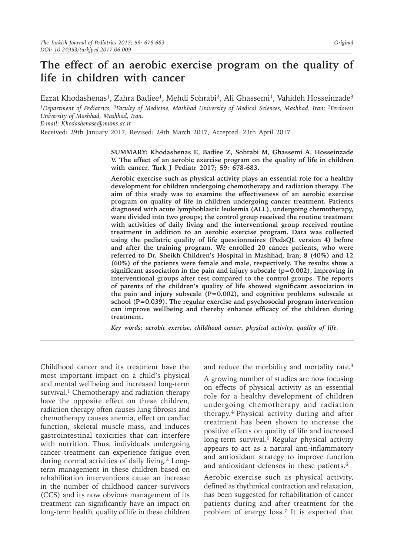# **The effect of an aerobic exercise program on the quality of life in children with cancer**

Ezzat Khodashenas<sup>1</sup>, Zahra Badiee<sup>1</sup>, Mehdi Sohrabi<sup>2</sup>, Ali Ghassemi<sup>1</sup>, Vahideh Hosseinzade<sup>3</sup> *1Department of Pediatrics, 3Faculty of Medicine, Mashhad University of Medical Sciences, Mashhad, Iran; 2Ferdowsi University of Mashhad, Mashhad, Iran.* 

*E-mail: Khodashenase@mums.ac.ir*

Received: 29th January 2017, Revised: 24th March 2017, Accepted: 23th April 2017

**SUMMARY: Khodashenas E, Badiee Z, Sohrabi M, Ghassemi A, Hosseinzade V. The effect of an aerobic exercise program on the quality of life in children with cancer. Turk J Pediatr 2017; 59: 678-683.**

**Aerobic exercise such as physical activity plays an essential role for a healthy development for children undergoing chemotherapy and radiation therapy. The aim of this study was to examine the effectiveness of an aerobic exercise program on quality of life in children undergoing cancer treatment. Patients diagnosed with acute lymphoblastic leukemia (ALL), undergoing chemotherapy, were divided into two groups; the control group received the routine treatment with activities of daily living and the interventional group received routine treatment in addition to an aerobic exercise program. Data was collected using the pediatric quality of life questionnaires (PedsQL version 4) before and after the training program. We enrolled 20 cancer patients, who were referred to Dr. Sheikh Children's Hospital in Mashhad, Iran; 8 (40%) and 12 (60%) of the patients were female and male, respectively. The results show a significant association in the pain and injury subscale (p=0.002), improving in interventional groups after test compared to the control groups. The reports of parents of the children's quality of life showed significant association in the pain and injury subscale (P=0.002), and cognitive problems subscale at school (P=0.039). The regular exercise and psychosocial program intervention can improve wellbeing and thereby enhance efficacy of the children during treatment.** 

*Key words: aerobic exercise, childhood cancer, physical activity, quality of life.*

Childhood cancer and its treatment have the most important impact on a child's physical and mental wellbeing and increased long-term survival.<sup>1</sup> Chemotherapy and radiation therapy have the opposite effect on these children, radiation therapy often causes lung fibrosis and chemotherapy causes anemia, effect on cardiac function, skeletal muscle mass, and induces gastrointestinal toxicities that can interfere with nutrition. Thus, individuals undergoing cancer treatment can experience fatigue even during normal activities of daily living.<sup>2</sup> Longterm management in these children based on rehabilitation interventions cause an increase in the number of childhood cancer survivors (CCS) and its now obvious management of its treatment can significantly have an impact on long-term health, quality of life in these children

and reduce the morbidity and mortality rate.<sup>3</sup>

A growing number of studies are now focusing on effects of physical activity as an essential role for a healthy development of children undergoing chemotherapy and radiation therapy.<sup>4</sup> Physical activity during and after treatment has been shown to ıncrease the positive effects on quality of life and increased long-term survival.<sup>5</sup> Regular physical activity appears to act as a natural anti-inflammatory and antioxidant strategy to improve function and antioxidant defenses in these patients.<sup>6</sup>

Aerobic exercise such as physical activity, defined as rhythmical contraction and relaxation, has been suggested for rehabilitation of cancer patients during and after treatment for the problem of energy loss.<sup>7</sup> It is expected that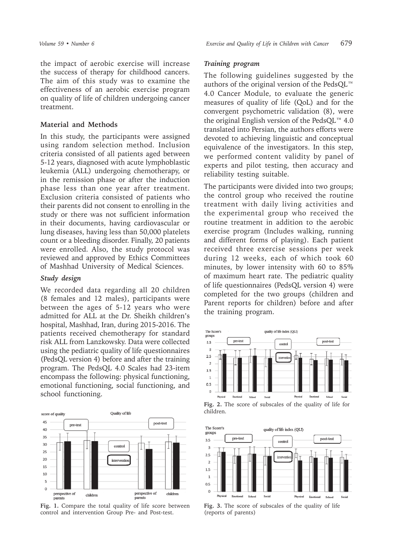the impact of aerobic exercise will increase the success of therapy for childhood cancers. The aim of this study was to examine the effectiveness of an aerobic exercise program on quality of life of children undergoing cancer treatment.

## **Material and Methods**

In this study, the participants were assigned using random selection method. Inclusion criteria consisted of all patients aged between 5-12 years, diagnosed with acute lymphoblastic leukemia (ALL) undergoing chemotherapy, or in the remission phase or after the induction phase less than one year after treatment. Exclusion criteria consisted of patients who their parents did not consent to enrolling in the study or there was not sufficient information in their documents, having cardiovascular or lung diseases, having less than 50,000 platelets count or a bleeding disorder. Finally, 20 patients were enrolled. Also, the study protocol was reviewed and approved by Ethics Committees of Mashhad University of Medical Sciences.

## *Study design*

We recorded data regarding all 20 children (8 females and 12 males), participants were between the ages of 5-12 years who were admitted for ALL at the Dr. Sheikh children's hospital, Mashhad, Iran, during 2015-2016. The patients received chemotherapy for standard risk ALL from Lanzkowsky. Data were collected using the pediatric quality of life questionnaires (PedsQL version 4) before and after the training program. The PedsQL 4.0 Scales had 23-item encompass the following: physical functioning, emotional functioning, social functioning, and school functioning.



**Fig. 1.** Compare the total quality of life score between control and intervention Group Pre- and Post-test.

## *Training program*

The following guidelines suggested by the authors of the original version of the PedsQL™ 4.0 Cancer Module, to evaluate the generic measures of quality of life (QoL) and for the convergent psychometric validation (8), were the original English version of the PedsQL™ 4.0 translated into Persian, the authors efforts were devoted to achieving linguistic and conceptual equivalence of the investigators. In this step, we performed content validity by panel of experts and pilot testing, then accuracy and reliability testing suitable.

The participants were divided into two groups; the control group who received the routine treatment with daily living activities and the experimental group who received the routine treatment in addition to the aerobic exercise program (Includes walking, running and different forms of playing). Each patient received three exercise sessions per week during 12 weeks, each of which took 60 minutes, by lower intensity with 60 to 85% of maximum heart rate. The pediatric quality of life questionnaires (PedsQL version 4) were completed for the two groups (children and Parent reports for children) before and after the training program.



**Fig. 2.** The score of subscales of the quality of life for children.



**Fig. 3.** The score of subscales of the quality of life (reports of parents)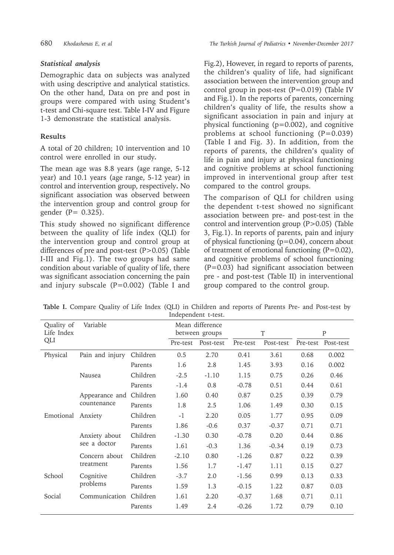## *Statistical analysis*

Demographic data on subjects was analyzed with using descriptive and analytical statistics. On the other hand, Data on pre and post in groups were compared with using Student's t-test and Chi-square test. Table I-IV and Figure 1-3 demonstrate the statistical analysis.

## **Results**

A total of 20 children; 10 intervention and 10 control were enrolled in our study*.*

The mean age was 8.8 years (age range, 5-12 year) and 10.1 years (age range, 5-12 year) in control and intervention group, respectively**.** No significant association was observed between the intervention group and control group for gender (P= 0.325).

This study showed no significant difference between the quality of life index (QLI) for the intervention group and control group at differences of pre and post-test (P>0.05) (Table I-III and Fig.1). The two groups had same condition about variable of quality of life, there was significant association concerning the pain and injury subscale (P=0.002) (Table I and

Fig.2), However, in regard to reports of parents, the children's quality of life, had significant association between the intervention group and control group in post-test (P=0.019) (Table IV and Fig.1). In the reports of parents, concerning children's quality of life, the results show a significant association in pain and injury at physical functioning (p=0.002), and cognitive problems at school functioning  $(P=0.039)$ (Table I and Fig. 3). In addition, from the reports of parents, the children's quality of life in pain and injury at physical functioning and cognitive problems at school functioning improved in interventional group after test compared to the control groups.

The comparison of QLI for children using the dependent t-test showed no significant association between pre- and post-test in the control and intervention group (P>0.05) (Table 3, Fig.1). In reports of parents, pain and injury of physical functioning  $(p=0.04)$ , concern about of treatment of emotional functioning (P=0.02), and cognitive problems of school functioning (P=0.03) had significant association between pre - and post-test (Table II) in interventional group compared to the control group.

|                     |  | Table I. Compare Quality of Life Index (QLI) in Children and reports of Parents Pre- and Post-test by |  |  |  |  |  |  |  |  |  |  |  |  |  |  |
|---------------------|--|-------------------------------------------------------------------------------------------------------|--|--|--|--|--|--|--|--|--|--|--|--|--|--|
| Independent t-test. |  |                                                                                                       |  |  |  |  |  |  |  |  |  |  |  |  |  |  |

| Quality of<br>Life Index | Variable                      |          |          | Mean difference<br>between groups |          | T         | P        |           |  |
|--------------------------|-------------------------------|----------|----------|-----------------------------------|----------|-----------|----------|-----------|--|
| QLI                      |                               |          | Pre-test | Post-test                         | Pre-test | Post-test | Pre-test | Post-test |  |
| Physical                 | Pain and injury               | Children | 0.5      | 2.70                              | 0.41     | 3.61      | 0.68     | 0.002     |  |
|                          |                               | Parents  | 1.6      | 2.8                               | 1.45     | 3.93      | 0.16     | 0.002     |  |
|                          | Nausea                        | Children | $-2.5$   | $-1.10$                           | 1.15     | 0.75      | 0.26     | 0.46      |  |
|                          |                               | Parents  | $-1.4$   | 0.8                               | $-0.78$  | 0.51      | 0.44     | 0.61      |  |
|                          | Appearance and Children       |          | 1.60     | 0.40                              | 0.87     | 0.25      | 0.39     | 0.79      |  |
|                          | countenance                   | Parents  | 1.8      | 2.5                               | 1.06     | 1.49      | 0.30     | 0.15      |  |
| Emotional Anxiety        |                               | Children | $-1$     | 2.20                              | 0.05     | 1.77      | 0.95     | 0.09      |  |
|                          |                               | Parents  | 1.86     | $-0.6$                            | 0.37     | $-0.37$   | 0.71     | 0.71      |  |
|                          | Anxiety about<br>see a doctor | Children | $-1.30$  | 0.30                              | $-0.78$  | 0.20      | 0.44     | 0.86      |  |
|                          |                               | Parents  | 1.61     | $-0.3$                            | 1.36     | $-0.34$   | 0.19     | 0.73      |  |
|                          | Concern about<br>treatment    | Children | $-2.10$  | 0.80                              | $-1.26$  | 0.87      | 0.22     | 0.39      |  |
|                          |                               | Parents  | 1.56     | 1.7                               | $-1.47$  | 1.11      | 0.15     | 0.27      |  |
| School                   | Cognitive                     | Children | $-3.7$   | 2.0                               | $-1.56$  | 0.99      | 0.13     | 0.33      |  |
|                          | problems                      | Parents  | 1.59     | 1.3                               | $-0.15$  | 1.22      | 0.87     | 0.03      |  |
| Social                   | Communication                 | Children | 1.61     | 2.20                              | $-0.37$  | 1.68      | 0.71     | 0.11      |  |
|                          |                               | Parents  | 1.49     | 2.4                               | $-0.26$  | 1.72      | 0.79     | 0.10      |  |
|                          |                               |          |          |                                   |          |           |          |           |  |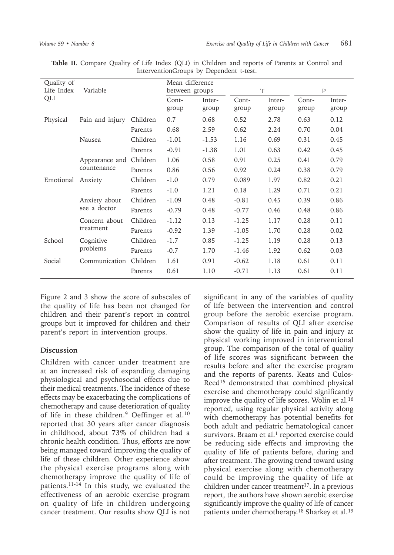| Quality of<br>Life Index | Variable                      | Mean difference<br>between groups |                | T               |                | P               |                |                 |
|--------------------------|-------------------------------|-----------------------------------|----------------|-----------------|----------------|-----------------|----------------|-----------------|
| QLI                      |                               |                                   | Cont-<br>group | Inter-<br>group | Cont-<br>group | Inter-<br>group | Cont-<br>group | Inter-<br>group |
| Physical                 | Pain and injury               | Children                          | 0.7            | 0.68            | 0.52           | 2.78            | 0.63           | 0.12            |
|                          |                               | Parents                           | 0.68           | 2.59            | 0.62           | 2.24            | 0.70           | 0.04            |
|                          | Nausea                        | Children                          | $-1.01$        | $-1.53$         | 1.16           | 0.69            | 0.31           | 0.45            |
|                          |                               | Parents                           | $-0.91$        | $-1.38$         | 1.01           | 0.63            | 0.42           | 0.45            |
|                          | Appearance and                | Children                          | 1.06           | 0.58            | 0.91           | 0.25            | 0.41           | 0.79            |
|                          | countenance                   | Parents                           | 0.86           | 0.56            | 0.92           | 0.24            | 0.38           | 0.79            |
| Emotional                | Anxiety                       | Children                          | $-1.0$         | 0.79            | 0.089          | 1.97            | 0.82           | 0.21            |
|                          |                               | Parents                           | $-1.0$         | 1.21            | 0.18           | 1.29            | 0.71           | 0.21            |
|                          | Anxiety about<br>see a doctor | Children                          | $-1.09$        | 0.48            | $-0.81$        | 0.45            | 0.39           | 0.86            |
|                          |                               | Parents                           | $-0.79$        | 0.48            | $-0.77$        | 0.46            | 0.48           | 0.86            |
|                          | Concern about<br>treatment    | Children                          | $-1.12$        | 0.13            | $-1.25$        | 1.17            | 0.28           | 0.11            |
|                          |                               | Parents                           | $-0.92$        | 1.39            | $-1.05$        | 1.70            | 0.28           | 0.02            |
| School                   | Cognitive                     | Children                          | $-1.7$         | 0.85            | $-1.25$        | 1.19            | 0.28           | 0.13            |
|                          | problems                      | Parents                           | $-0.7$         | 1.70            | $-1.46$        | 1.92            | 0.62           | 0.03            |
| Social                   | Communication                 | Children                          | 1.61           | 0.91            | $-0.62$        | 1.18            | 0.61           | 0.11            |
|                          |                               | Parents                           | 0.61           | 1.10            | $-0.71$        | 1.13            | 0.61           | 0.11            |

**Table II**. Compare Quality of Life Index (QLI) in Children and reports of Parents at Control and InterventionGroups by Dependent t-test.

Figure 2 and 3 show the score of subscales of the quality of life has been not changed for children and their parent's report in control groups but it improved for children and their parent's report in intervention groups.

## **Discussion**

Children with cancer under treatment are at an increased risk of expanding damaging physiological and psychosocial effects due to their medical treatments. The incidence of these effects may be exacerbating the complications of chemotherapy and cause deterioration of quality of life in these children.<sup>9</sup> Oeffinger et al.<sup>10</sup> reported that 30 years after cancer diagnosis in childhood, about 73% of children had a chronic health condition. Thus, efforts are now being managed toward improving the quality of life of these children. Other experience show the physical exercise programs along with chemotherapy improve the quality of life of patients.11-14 In this study, we evaluated the effectiveness of an aerobic exercise program on quality of life in children undergoing cancer treatment. Our results show QLI is not

significant in any of the variables of quality of life between the intervention and control group before the aerobic exercise program. Comparison of results of QLI after exercise show the quality of life in pain and injury at physical working improved in interventional group. The comparison of the total of quality of life scores was significant between the results before and after the exercise program and the reports of parents. Keats and Culos-Reed15 demonstrated that combined physical exercise and chemotherapy could significantly improve the quality of life scores. Wolin et al.<sup>16</sup> reported, using regular physical activity along with chemotherapy has potential benefits for both adult and pediatric hematological cancer survivors. Braam et al. $<sup>1</sup>$  reported exercise could</sup> be reducing side effects and improving the quality of life of patients before, during and after treatment. The growing trend toward using physical exercise along with chemotherapy could be improving the quality of life at children under cancer treatment<sup>17</sup>. In a previous report, the authors have shown aerobic exercise significantly improve the quality of life of cancer patients under chemotherapy.<sup>18</sup> Sharkey et al.<sup>19</sup>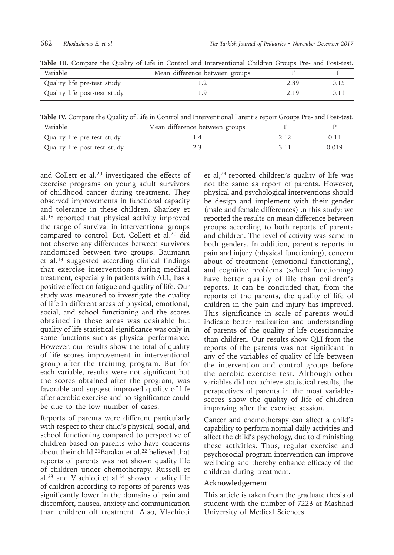| Variable                     | Mean difference between groups |      |      |
|------------------------------|--------------------------------|------|------|
| Quality life pre-test study  |                                | 2.89 | 0.15 |
| Quality life post-test study |                                | 2.19 | 0.11 |

**Table III**. Compare the Quality of Life in Control and Interventional Children Groups Pre- and Post-test.

**Table IV.** Compare the Quality of Life in Control and Interventional Parent's report Groups Pre- and Post-test.

| Variable                     | Mean difference between groups |        |       |
|------------------------------|--------------------------------|--------|-------|
| Quality life pre-test study  |                                | 2. 12. | 0.11  |
| Quality life post-test study |                                | 311    | 0.019 |

and Collett et al.<sup>20</sup> investigated the effects of exercise programs on young adult survivors of childhood cancer during treatment. They observed improvements in functional capacity and tolerance in these children. Sharkey et al.<sup>19</sup> reported that physical activity improved the range of survival in interventional groups compared to control. But, Collett et al.20 did not observe any differences between survivors randomized between two groups. Baumann et al.<sup>13</sup> suggested according clinical findings that exercise interventions during medical treatment, especially in patients with ALL, has a positive effect on fatigue and quality of life. Our study was measured to investigate the quality of life in different areas of physical, emotional, social, and school functioning and the scores obtained in these areas was desirable but quality of life statistical significance was only in some functions such as physical performance. However, our results show the total of quality of life scores improvement in interventional group after the training program. But for each variable, results were not significant but the scores obtained after the program, was favorable and suggest improved quality of life after aerobic exercise and no significance could be due to the low number of cases.

Reports of parents were different particularly with respect to their child's physical, social, and school functioning compared to perspective of children based on parents who have concerns about their child.<sup>21</sup>Barakat et al.<sup>22</sup> believed that reports of parents was not shown quality life of children under chemotherapy. Russell et  $al.^{23}$  and Vlachioti et al.<sup>24</sup> showed quality life of children according to reports of parents was significantly lower in the domains of pain and discomfort, nausea, anxiety and communication than children off treatment. Also, Vlachioti

et al,24 reported children's quality of life was not the same as report of parents. However, physical and psychological interventions should be design and implement with their gender (male and female differences) .n this study; we reported the results on mean difference between groups according to both reports of parents and children. The level of activity was same in both genders. In addition, parent's reports in pain and injury (physical functioning), concern about of treatment (emotional functioning), and cognitive problems (school functioning) have better quality of life than children's reports. It can be concluded that, from the reports of the parents, the quality of life of children in the pain and injury has improved. This significance in scale of parents would indicate better realization and understanding of parents of the quality of life questionnaire than children. Our results show QLI from the reports of the parents was not significant in any of the variables of quality of life between the intervention and control groups before the aerobic exercise test. Although other variables did not achieve statistical results, the perspectives of parents in the most variables scores show the quality of life of children improving after the exercise session.

Cancer and chemotherapy can affect a child's capability to perform normal daily activities and affect the child's psychology, due to diminishing these activities. Thus, regular exercise and psychosocial program intervention can improve wellbeing and thereby enhance efficacy of the children during treatment.

## **Acknowledgement**

This article is taken from the graduate thesis of student with the number of 7223 at Mashhad University of Medical Sciences.